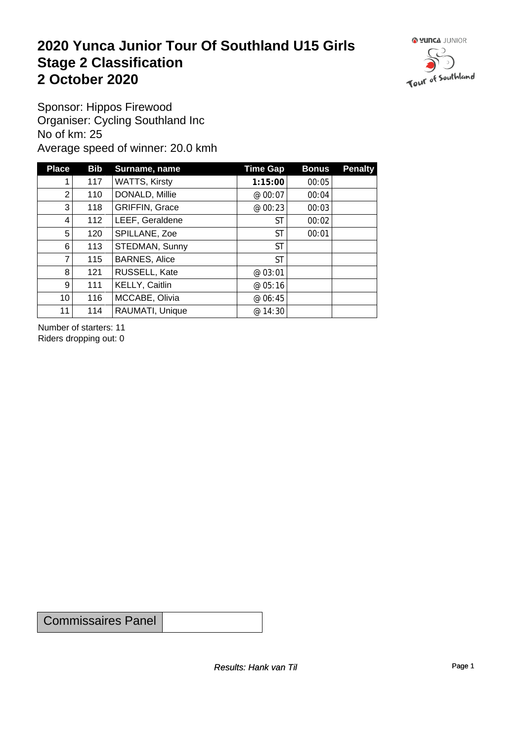#### **2020 Yunca Junior Tour Of Southland U15 Girls** Stage 2 Classification<br>
2 October 2020 **2 October 2020**



Sponsor: Hippos Firewood Organiser: Cycling Southland Inc No of km: 25 Average speed of winner: 20.0 kmh

| <b>Place</b>    | Bib | Surname, name         | Time Gap  | <b>Bonus</b> | <b>Penalty</b> |
|-----------------|-----|-----------------------|-----------|--------------|----------------|
|                 | 117 | <b>WATTS, Kirsty</b>  | 1:15:00   | 00:05        |                |
| $\overline{2}$  | 110 | DONALD, Millie        | @ 00:07   | 00:04        |                |
| 3               | 118 | <b>GRIFFIN, Grace</b> | @ 00:23   | 00:03        |                |
| 4               | 112 | LEEF, Geraldene       | <b>ST</b> | 00:02        |                |
| 5               | 120 | SPILLANE, Zoe         | <b>ST</b> | 00:01        |                |
| 6               | 113 | STEDMAN, Sunny        | <b>ST</b> |              |                |
| 7               | 115 | <b>BARNES, Alice</b>  | <b>ST</b> |              |                |
| 8               | 121 | RUSSELL, Kate         | @ 03:01   |              |                |
| 9 <sup>1</sup>  | 111 | KELLY, Caitlin        | @ 05:16   |              |                |
| 10 <sup>1</sup> | 116 | MCCABE, Olivia        | @ 06:45   |              |                |
| 11              | 114 | RAUMATI, Unique       | @ 14:30   |              |                |

Number of starters: 11 Riders dropping out: 0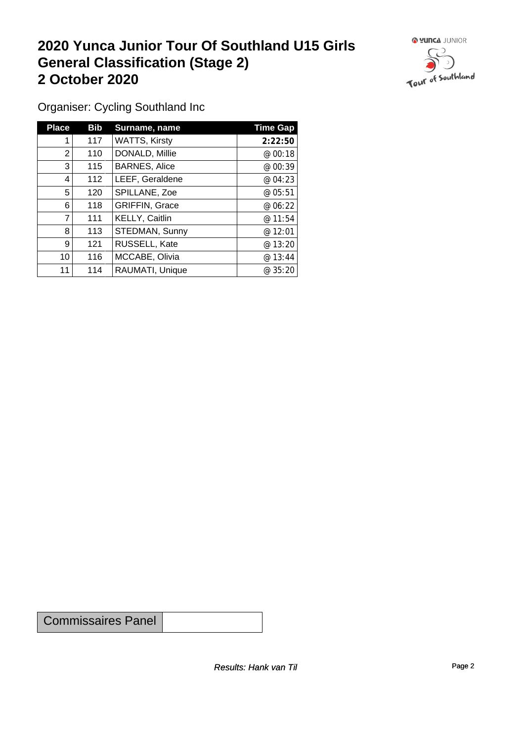### **2020 Yunca Junior Tour Of Southland U15 Girls General Classification (Stage 2)**<br>
2 October 2020 **2 October 2020**



Organiser: Cycling Southland Inc

| <b>Place</b>   | <b>Bib</b> | Surname, name         | <b>Time Gap</b> |
|----------------|------------|-----------------------|-----------------|
|                | 117        | <b>WATTS, Kirsty</b>  | 2:22:50         |
| $\overline{2}$ | 110        | DONALD, Millie        | @ 00:18         |
| 3              | 115        | <b>BARNES, Alice</b>  | @ 00:39         |
| 4              | 112        | LEEF, Geraldene       | @ 04:23         |
| 5              | 120        | SPILLANE, Zoe         | @ 05:51         |
| 6              | 118        | <b>GRIFFIN, Grace</b> | @ 06:22         |
| 7              | 111        | KELLY, Caitlin        | @11:54          |
| 8              | 113        | STEDMAN, Sunny        | @ 12:01         |
| 9              | 121        | RUSSELL, Kate         | @ 13:20         |
| 10             | 116        | MCCABE, Olivia        | @13:44          |
| 11             | 114        | RAUMATI, Unique       | @ 35:20         |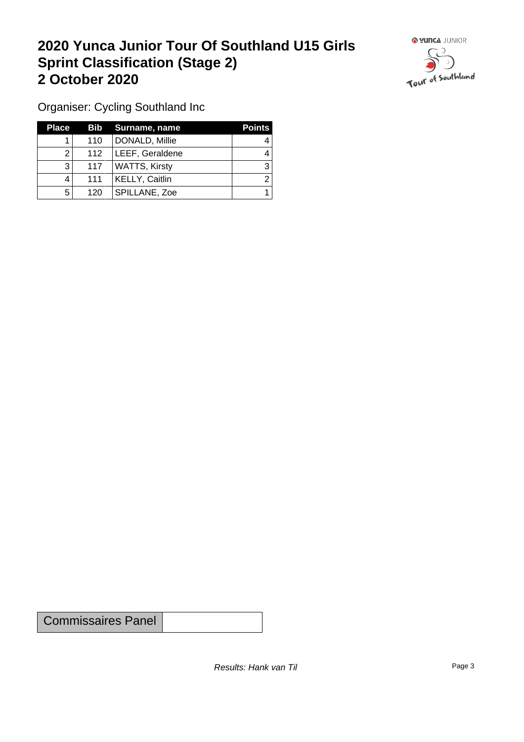### **2020 Yunca Junior Tour Of Southland U15 Girls Sprint Classification (Stage 2) 2 October 2020**



Organiser: Cycling Southland Inc

| <b>Place</b> |     | <b>Bib</b> Surname, name | <b>Points</b> |
|--------------|-----|--------------------------|---------------|
|              | 110 | DONALD, Millie           |               |
|              | 112 | LEEF, Geraldene          |               |
| າ<br>J       | 117 | WATTS, Kirsty            |               |
|              | 111 | <b>KELLY, Caitlin</b>    |               |
| 5            | 120 | SPILLANE, Zoe            |               |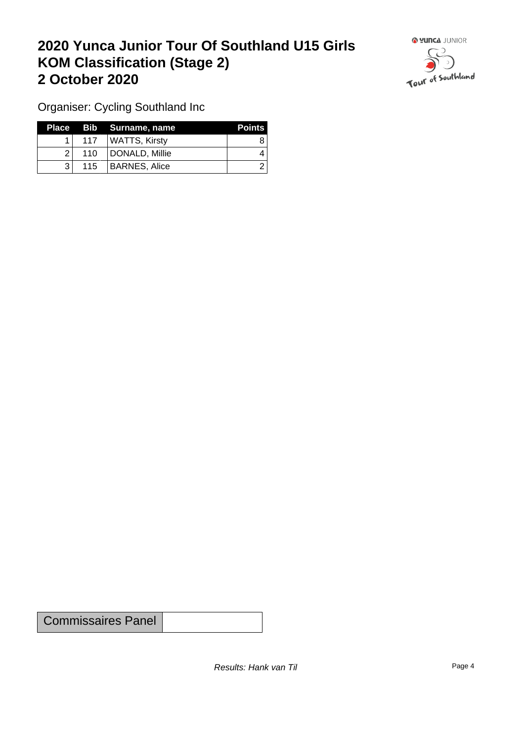## **2020 Yunca Junior Tour Of Southland U15 Girls KOM Classification (Stage 2) 2 October 2020**



Organiser: Cycling Southland Inc

|              |                  | Place Bib Surname, name | <b>Points</b> |
|--------------|------------------|-------------------------|---------------|
|              | 117 <sup>1</sup> | WATTS, Kirsty           |               |
| 21           | 110              | DONALD, Millie          | 4             |
| $\mathbf{R}$ | 115              | BARNES, Alice           |               |